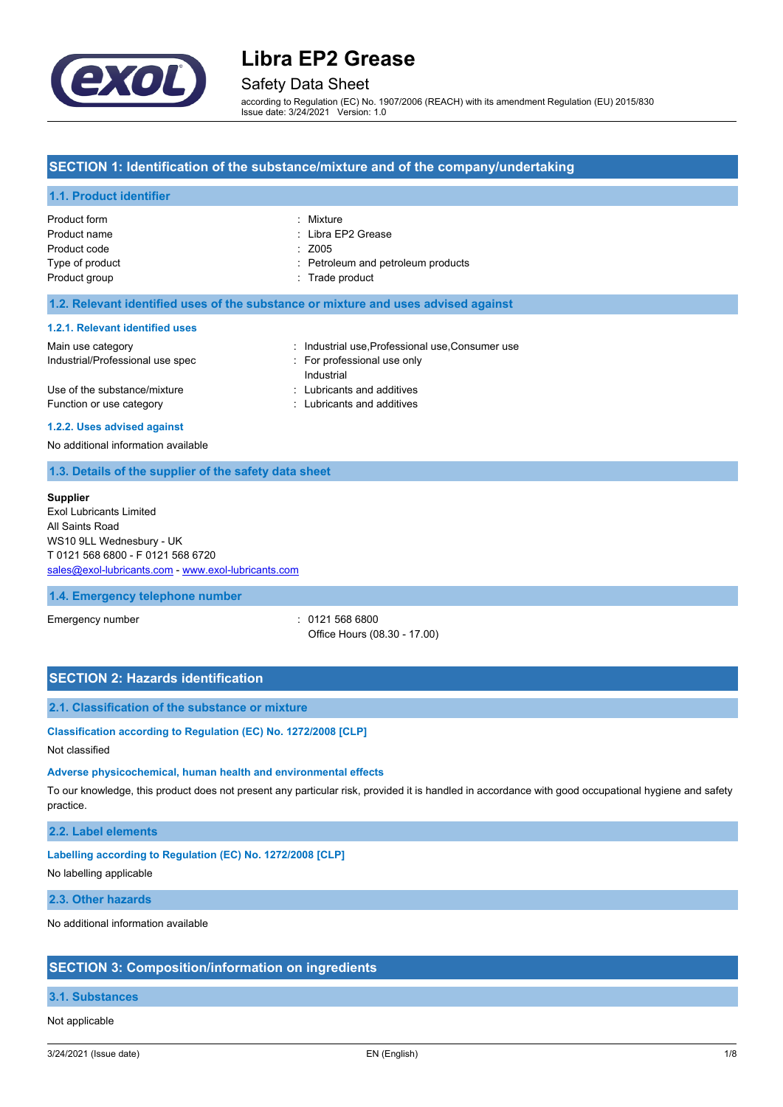

Safety Data Sheet

according to Regulation (EC) No. 1907/2006 (REACH) with its amendment Regulation (EU) 2015/830 Issue date: 3/24/2021 Version: 1.0

# **SECTION 1: Identification of the substance/mixture and of the company/undertaking**

# **1.1. Product identifier**

| Product form    | : Mixture                          |
|-----------------|------------------------------------|
| Product name    | : Libra EP2 Grease                 |
| Product code    | $\div$ Z005                        |
| Type of product | : Petroleum and petroleum products |
| Product group   | : Trade product                    |
|                 |                                    |

### **1.2. Relevant identified uses of the substance or mixture and uses advised against**

#### **1.2.1. Relevant identified uses**

| Main use category                | : Industrial use, Professional use, Consumer use |
|----------------------------------|--------------------------------------------------|
| Industrial/Professional use spec | For professional use only                        |
|                                  | Industrial                                       |
| Use of the substance/mixture     | : Lubricants and additives                       |
| Function or use category         | : Lubricants and additives                       |

#### **1.2.2. Uses advised against**

No additional information available

### **1.3. Details of the supplier of the safety data sheet**

#### **Supplier**

Exol Lubricants Limited All Saints Road WS10 9LL Wednesbury - UK T 0121 568 6800 - F 0121 568 6720 [sales@exol-lubricants.com](mailto:sales@exol-lubricants.com) - <www.exol-lubricants.com>

# **1.4. Emergency telephone number**

Emergency number : 0121 568 6800 Office Hours (08.30 - 17.00)

# **SECTION 2: Hazards identification**

# **2.1. Classification of the substance or mixture**

**Classification according to Regulation (EC) No. 1272/2008 [CLP]**

### Not classified

#### **Adverse physicochemical, human health and environmental effects**

To our knowledge, this product does not present any particular risk, provided it is handled in accordance with good occupational hygiene and safety practice.

# **2.2. Label elements**

#### **Labelling according to Regulation (EC) No. 1272/2008 [CLP]**

No labelling applicable

# **2.3. Other hazards**

No additional information available

# **SECTION 3: Composition/information on ingredients**

# **3.1. Substances**

Not applicable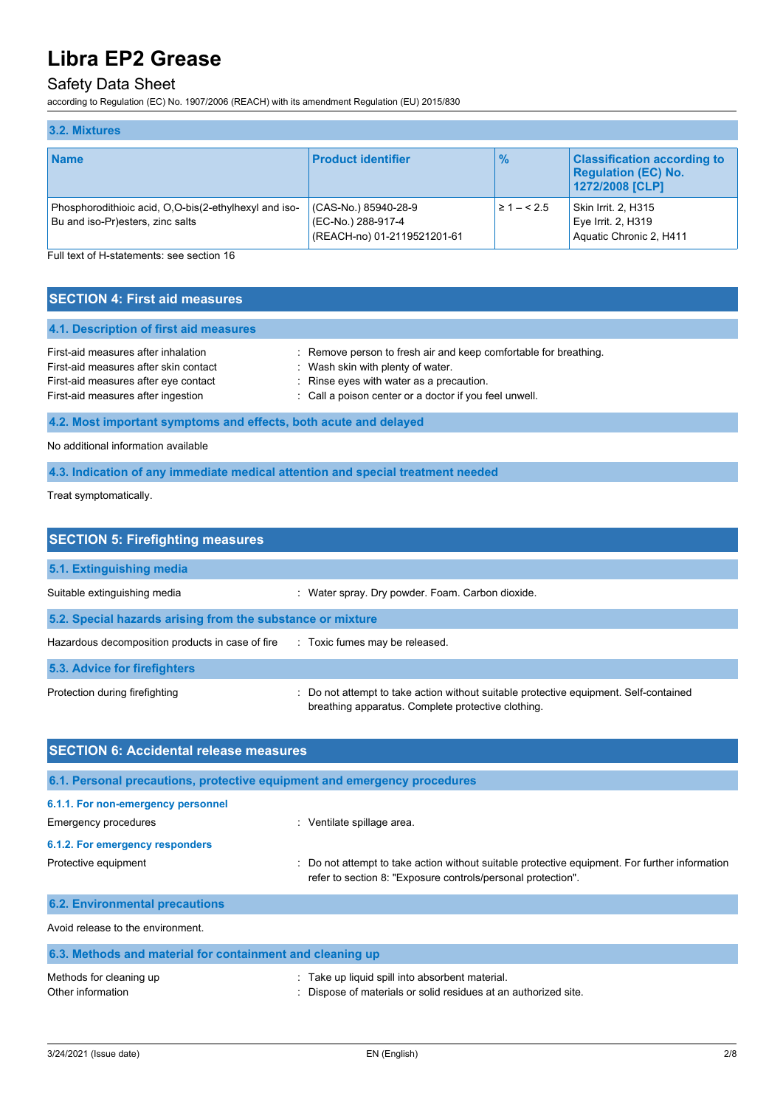# Safety Data Sheet

according to Regulation (EC) No. 1907/2006 (REACH) with its amendment Regulation (EU) 2015/830

| 3.2. Mixtures                                                                             |                                                                           |                |                                                                                     |
|-------------------------------------------------------------------------------------------|---------------------------------------------------------------------------|----------------|-------------------------------------------------------------------------------------|
| <b>Name</b>                                                                               | <b>Product identifier</b>                                                 | $\frac{9}{6}$  | <b>Classification according to</b><br><b>Regulation (EC) No.</b><br>1272/2008 [CLP] |
| Phosphorodithioic acid, O,O-bis(2-ethylhexyl and iso-<br>Bu and iso-Pr)esters, zinc salts | (CAS-No.) 85940-28-9<br>(EC-No.) 288-917-4<br>(REACH-no) 01-2119521201-61 | $\geq 1 - 5.5$ | Skin Irrit. 2, H315<br>Eye Irrit. 2, H319<br>Aquatic Chronic 2, H411                |

Full text of H-statements: see section 16

| <b>SECTION 4: First aid measures</b>   |                                                                  |
|----------------------------------------|------------------------------------------------------------------|
| 4.1. Description of first aid measures |                                                                  |
| First-aid measures after inhalation    | : Remove person to fresh air and keep comfortable for breathing. |
| First-aid measures after skin contact  | : Wash skin with plenty of water.                                |
| First-aid measures after eye contact   | : Rinse eyes with water as a precaution.                         |
| First-aid measures after ingestion     | : Call a poison center or a doctor if you feel unwell.           |

**4.2. Most important symptoms and effects, both acute and delayed**

No additional information available

**4.3. Indication of any immediate medical attention and special treatment needed**

Treat symptomatically.

| <b>SECTION 5: Firefighting measures</b>                    |                                                                                                                                             |  |  |
|------------------------------------------------------------|---------------------------------------------------------------------------------------------------------------------------------------------|--|--|
| 5.1. Extinguishing media                                   |                                                                                                                                             |  |  |
| Suitable extinguishing media                               | : Water spray. Dry powder. Foam. Carbon dioxide.                                                                                            |  |  |
| 5.2. Special hazards arising from the substance or mixture |                                                                                                                                             |  |  |
| Hazardous decomposition products in case of fire           | : Toxic fumes may be released.                                                                                                              |  |  |
| 5.3. Advice for firefighters                               |                                                                                                                                             |  |  |
| Protection during firefighting                             | : Do not attempt to take action without suitable protective equipment. Self-contained<br>breathing apparatus. Complete protective clothing. |  |  |

| <b>SECTION 6: Accidental release measures</b>                            |                                                                                                                                                              |  |  |
|--------------------------------------------------------------------------|--------------------------------------------------------------------------------------------------------------------------------------------------------------|--|--|
| 6.1. Personal precautions, protective equipment and emergency procedures |                                                                                                                                                              |  |  |
| 6.1.1. For non-emergency personnel                                       |                                                                                                                                                              |  |  |
| Emergency procedures                                                     | : Ventilate spillage area.                                                                                                                                   |  |  |
| 6.1.2. For emergency responders                                          |                                                                                                                                                              |  |  |
| Protective equipment                                                     | Do not attempt to take action without suitable protective equipment. For further information<br>refer to section 8: "Exposure controls/personal protection". |  |  |
| <b>6.2. Environmental precautions</b>                                    |                                                                                                                                                              |  |  |
| Avoid release to the environment.                                        |                                                                                                                                                              |  |  |
| 6.3. Methods and material for containment and cleaning up                |                                                                                                                                                              |  |  |

| Methods for cleaning up | : Take up liquid spill into absorbent material.                 |
|-------------------------|-----------------------------------------------------------------|
| Other information       | : Dispose of materials or solid residues at an authorized site. |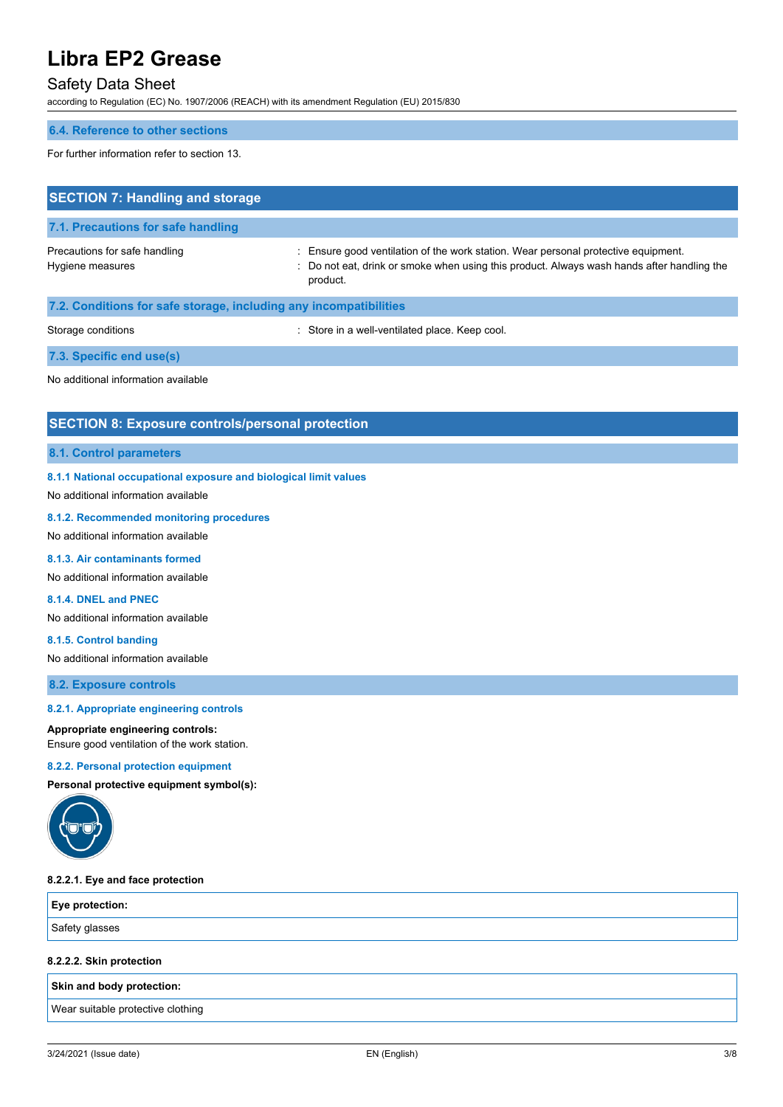# Safety Data Sheet

according to Regulation (EC) No. 1907/2006 (REACH) with its amendment Regulation (EU) 2015/830

### **6.4. Reference to other sections**

For further information refer to section 13.

| <b>SECTION 7: Handling and storage</b>                            |                                                                                                                                                                                              |  |  |
|-------------------------------------------------------------------|----------------------------------------------------------------------------------------------------------------------------------------------------------------------------------------------|--|--|
| 7.1. Precautions for safe handling                                |                                                                                                                                                                                              |  |  |
| Precautions for safe handling<br>Hygiene measures                 | : Ensure good ventilation of the work station. Wear personal protective equipment.<br>: Do not eat, drink or smoke when using this product. Always wash hands after handling the<br>product. |  |  |
| 7.2. Conditions for safe storage, including any incompatibilities |                                                                                                                                                                                              |  |  |
| Storage conditions                                                | : Store in a well-ventilated place. Keep cool.                                                                                                                                               |  |  |
| 7.3. Specific end use(s)                                          |                                                                                                                                                                                              |  |  |
| No additional information available                               |                                                                                                                                                                                              |  |  |

# **SECTION 8: Exposure controls/personal protection**

#### **8.1. Control parameters**

#### **8.1.1 National occupational exposure and biological limit values**

No additional information available

### **8.1.2. Recommended monitoring procedures**

No additional information available

### **8.1.3. Air contaminants formed**

No additional information available

# **8.1.4. DNEL and PNEC**

No additional information available

**8.1.5. Control banding**

No additional information available

**8.2. Exposure controls**

# **8.2.1. Appropriate engineering controls**

### **Appropriate engineering controls:**

Ensure good ventilation of the work station.

# **8.2.2. Personal protection equipment**

**Personal protective equipment symbol(s):**



# **8.2.2.1. Eye and face protection**

| Eye protection: |  |
|-----------------|--|
| Safety glasses  |  |

# **8.2.2.2. Skin protection**

# **Skin and body protection:**

Wear suitable protective clothing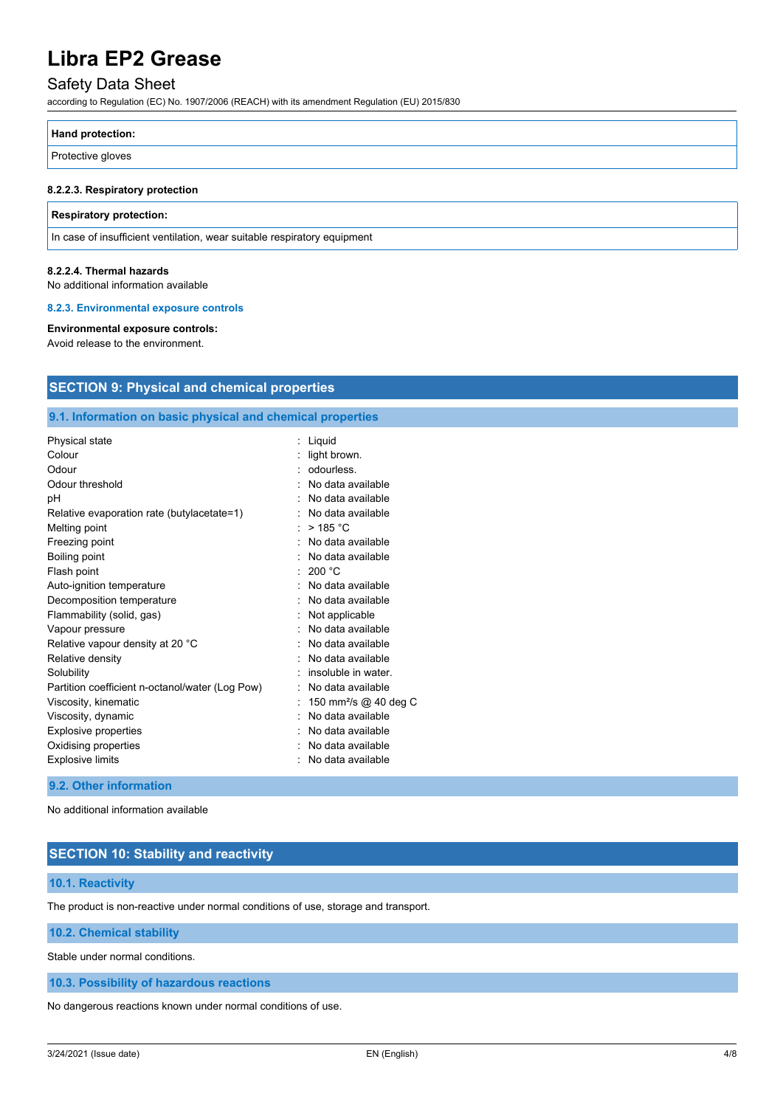# Safety Data Sheet

according to Regulation (EC) No. 1907/2006 (REACH) with its amendment Regulation (EU) 2015/830

| <b>Hand protection:</b> |  |
|-------------------------|--|
| Protective gloves       |  |

### **8.2.2.3. Respiratory protection**

#### **Respiratory protection:**

In case of insufficient ventilation, wear suitable respiratory equipment

#### **8.2.2.4. Thermal hazards**

No additional information available

#### **8.2.3. Environmental exposure controls**

#### **Environmental exposure controls:**

Avoid release to the environment.

# **SECTION 9: Physical and chemical properties**

# **9.1. Information on basic physical and chemical properties**

| Physical state                                  | : Liquid                          |
|-------------------------------------------------|-----------------------------------|
| Colour                                          | light brown.                      |
| Odour                                           | odourless.                        |
| Odour threshold                                 | No data available                 |
| рH                                              | No data available                 |
| Relative evaporation rate (butylacetate=1)      | No data available                 |
| Melting point                                   | $>$ 185 °C                        |
| Freezing point                                  | No data available                 |
| Boiling point                                   | No data available                 |
| Flash point                                     | 200 °C                            |
| Auto-ignition temperature                       | No data available                 |
| Decomposition temperature                       | No data available                 |
| Flammability (solid, gas)                       | Not applicable                    |
| Vapour pressure                                 | No data available                 |
| Relative vapour density at 20 °C                | No data available                 |
| Relative density                                | No data available                 |
| Solubility                                      | insoluble in water.               |
| Partition coefficient n-octanol/water (Log Pow) | No data available                 |
| Viscosity, kinematic                            | 150 mm <sup>2</sup> /s @ 40 deg C |
| Viscosity, dynamic                              | No data available                 |
| <b>Explosive properties</b>                     | No data available                 |
| Oxidising properties                            | No data available                 |
| <b>Explosive limits</b>                         | No data available                 |
|                                                 |                                   |

# **9.2. Other information**

No additional information available

# **SECTION 10: Stability and reactivity**

# **10.1. Reactivity**

The product is non-reactive under normal conditions of use, storage and transport.

**10.2. Chemical stability**

Stable under normal conditions.

**10.3. Possibility of hazardous reactions**

No dangerous reactions known under normal conditions of use.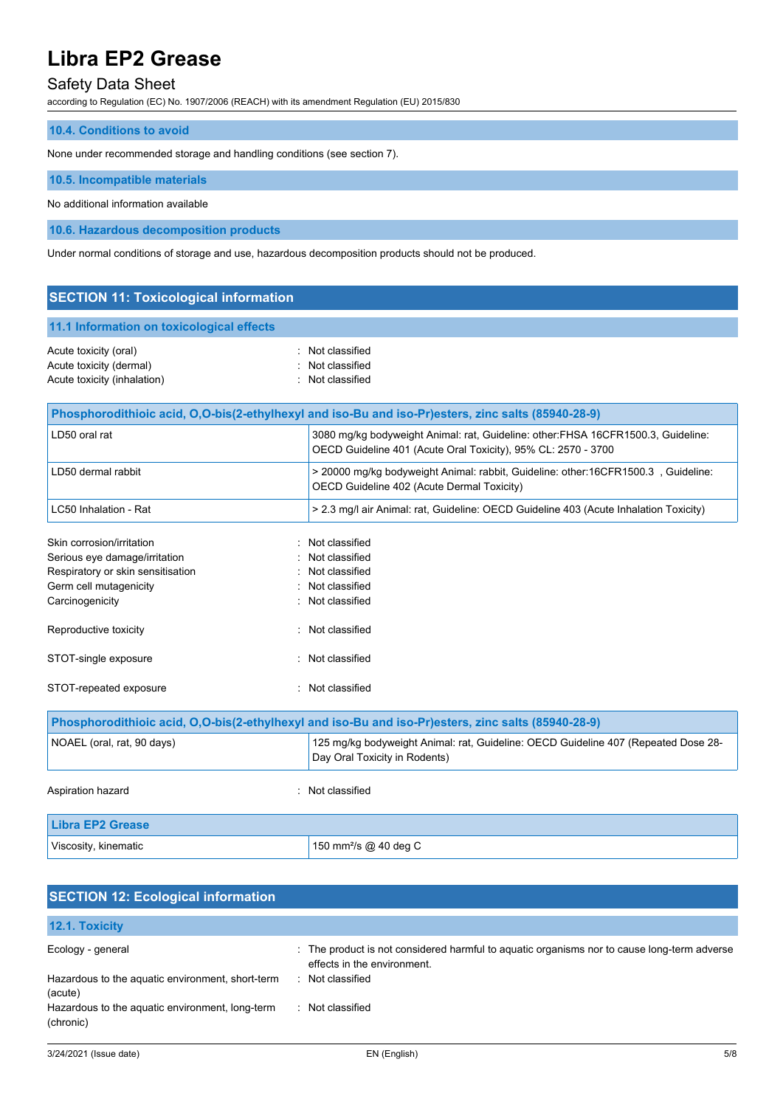# Safety Data Sheet

according to Regulation (EC) No. 1907/2006 (REACH) with its amendment Regulation (EU) 2015/830

| <b>10.4. Conditions to avoid</b> |  |
|----------------------------------|--|
|                                  |  |

None under recommended storage and handling conditions (see section 7).

**10.5. Incompatible materials**

No additional information available

**10.6. Hazardous decomposition products**

Under normal conditions of storage and use, hazardous decomposition products should not be produced.

| <b>SECTION 11: Toxicological information</b>     |                                      |  |  |
|--------------------------------------------------|--------------------------------------|--|--|
| 11.1 Information on toxicological effects        |                                      |  |  |
| Acute toxicity (oral)<br>Acute toxicity (dermal) | : Not classified<br>: Not classified |  |  |
| Acute toxicity (inhalation)                      | : Not classified                     |  |  |

|                                                                                                                                                   | Phosphorodithioic acid, O,O-bis(2-ethylhexyl and iso-Bu and iso-Pr)esters, zinc salts (85940-28-9)                                                 |
|---------------------------------------------------------------------------------------------------------------------------------------------------|----------------------------------------------------------------------------------------------------------------------------------------------------|
| LD50 oral rat                                                                                                                                     | 3080 mg/kg bodyweight Animal: rat, Guideline: other: FHSA 16CFR1500.3, Guideline:<br>OECD Guideline 401 (Acute Oral Toxicity), 95% CL: 2570 - 3700 |
| LD50 dermal rabbit                                                                                                                                | > 20000 mg/kg bodyweight Animal: rabbit, Guideline: other:16CFR1500.3, Guideline:<br>OECD Guideline 402 (Acute Dermal Toxicity)                    |
| LC50 Inhalation - Rat                                                                                                                             | > 2.3 mg/l air Animal: rat, Guideline: OECD Guideline 403 (Acute Inhalation Toxicity)                                                              |
| Skin corrosion/irritation                                                                                                                         | Not classified                                                                                                                                     |
| Serious eye damage/irritation                                                                                                                     | Not classified                                                                                                                                     |
| Respiratory or skin sensitisation                                                                                                                 | : Not classified                                                                                                                                   |
| Germ cell mutagenicity                                                                                                                            | Not classified                                                                                                                                     |
| Carcinogenicity                                                                                                                                   | Not classified                                                                                                                                     |
| Reproductive toxicity                                                                                                                             | : Not classified                                                                                                                                   |
| STOT-single exposure                                                                                                                              | Not classified                                                                                                                                     |
| STOT-repeated exposure                                                                                                                            | Not classified                                                                                                                                     |
|                                                                                                                                                   | Phosphorodithioic acid, O,O-bis(2-ethylhexyl and iso-Bu and iso-Pr)esters, zinc salts (85940-28-9)                                                 |
| 125 mg/kg bodyweight Animal: rat, Guideline: OECD Guideline 407 (Repeated Dose 28-<br>NOAEL (oral, rat, 90 days)<br>Day Oral Toxicity in Rodents) |                                                                                                                                                    |
| Aspiration hazard                                                                                                                                 | : Not classified                                                                                                                                   |

| Libra EP2 Grease     |                                   |
|----------------------|-----------------------------------|
| Viscosity, kinematic | 150 mm <sup>2</sup> /s @ 40 deg C |

| <b>SECTION 12: Ecological information</b>                    |                                                                                                                            |  |
|--------------------------------------------------------------|----------------------------------------------------------------------------------------------------------------------------|--|
| <b>12.1. Toxicity</b>                                        |                                                                                                                            |  |
| Ecology - general                                            | : The product is not considered harmful to aquatic organisms nor to cause long-term adverse<br>effects in the environment. |  |
| Hazardous to the aquatic environment, short-term<br>(acute)  | Not classified<br><b>P</b>                                                                                                 |  |
| Hazardous to the aquatic environment, long-term<br>(chronic) | Not classified                                                                                                             |  |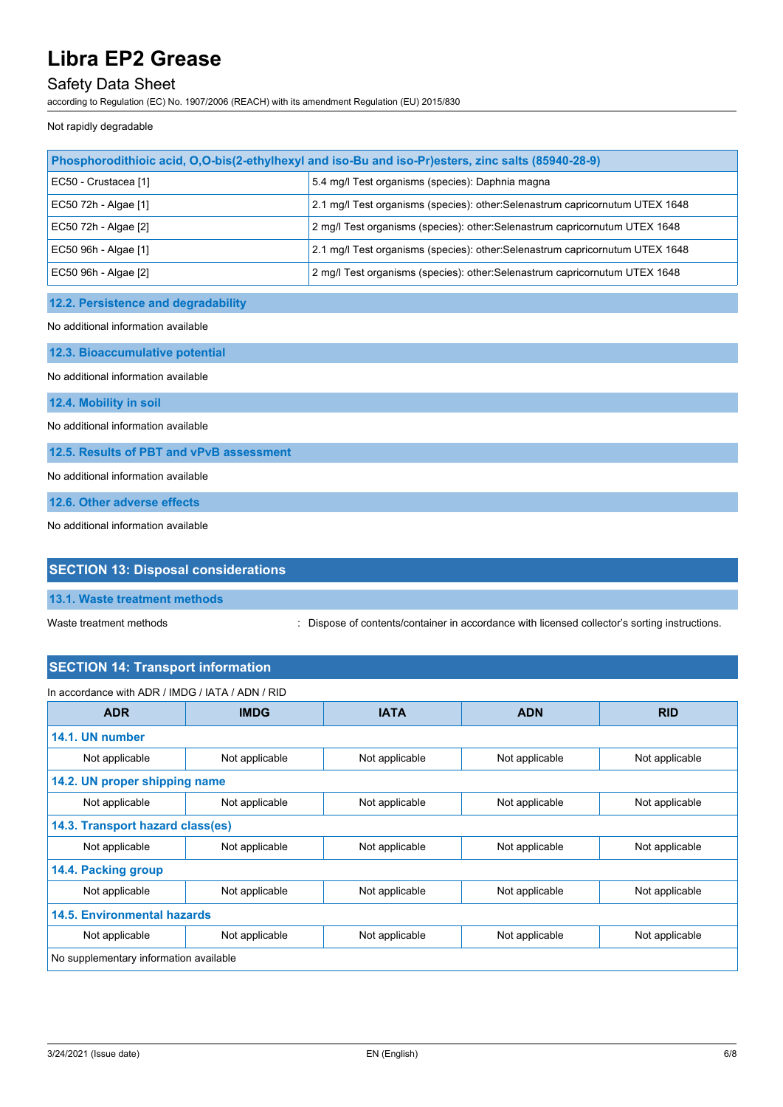# Safety Data Sheet

according to Regulation (EC) No. 1907/2006 (REACH) with its amendment Regulation (EU) 2015/830

Not rapidly degradable

| Phosphorodithioic acid, O,O-bis(2-ethylhexyl and iso-Bu and iso-Pr)esters, zinc salts (85940-28-9) |                                                                               |  |
|----------------------------------------------------------------------------------------------------|-------------------------------------------------------------------------------|--|
| EC50 - Crustacea [1]                                                                               | 5.4 mg/l Test organisms (species): Daphnia magna                              |  |
| EC50 72h - Algae [1]                                                                               | 2.1 mg/l Test organisms (species): other: Selenastrum capricornutum UTEX 1648 |  |
| EC50 72h - Algae [2]                                                                               | 2 mg/l Test organisms (species): other: Selenastrum capricornutum UTEX 1648   |  |
| EC50 96h - Algae [1]                                                                               | 2.1 mg/l Test organisms (species): other: Selenastrum capricornutum UTEX 1648 |  |
| EC50 96h - Algae [2]                                                                               | 2 mg/l Test organisms (species): other: Selenastrum capricornutum UTEX 1648   |  |

# **12.2. Persistence and degradability**

No additional information available

**12.3. Bioaccumulative potential**

No additional information available

**12.4. Mobility in soil**

No additional information available

**12.5. Results of PBT and vPvB assessment**

No additional information available

**12.6. Other adverse effects**

No additional information available

# **SECTION 13: Disposal considerations**

**13.1. Waste treatment methods**

Waste treatment methods : Dispose of contents/container in accordance with licensed collector's sorting instructions.

# **SECTION 14: Transport information**

| In accordance with ADR / IMDG / IATA / ADN / RID |                |                |                |                |
|--------------------------------------------------|----------------|----------------|----------------|----------------|
| <b>ADR</b>                                       | <b>IMDG</b>    | <b>IATA</b>    | <b>ADN</b>     | <b>RID</b>     |
| 14.1. UN number                                  |                |                |                |                |
| Not applicable                                   | Not applicable | Not applicable | Not applicable | Not applicable |
| 14.2. UN proper shipping name                    |                |                |                |                |
| Not applicable                                   | Not applicable | Not applicable | Not applicable | Not applicable |
| 14.3. Transport hazard class(es)                 |                |                |                |                |
| Not applicable                                   | Not applicable | Not applicable | Not applicable | Not applicable |
| 14.4. Packing group                              |                |                |                |                |
| Not applicable                                   | Not applicable | Not applicable | Not applicable | Not applicable |
| <b>14.5. Environmental hazards</b>               |                |                |                |                |
| Not applicable                                   | Not applicable | Not applicable | Not applicable | Not applicable |
| No supplementary information available           |                |                |                |                |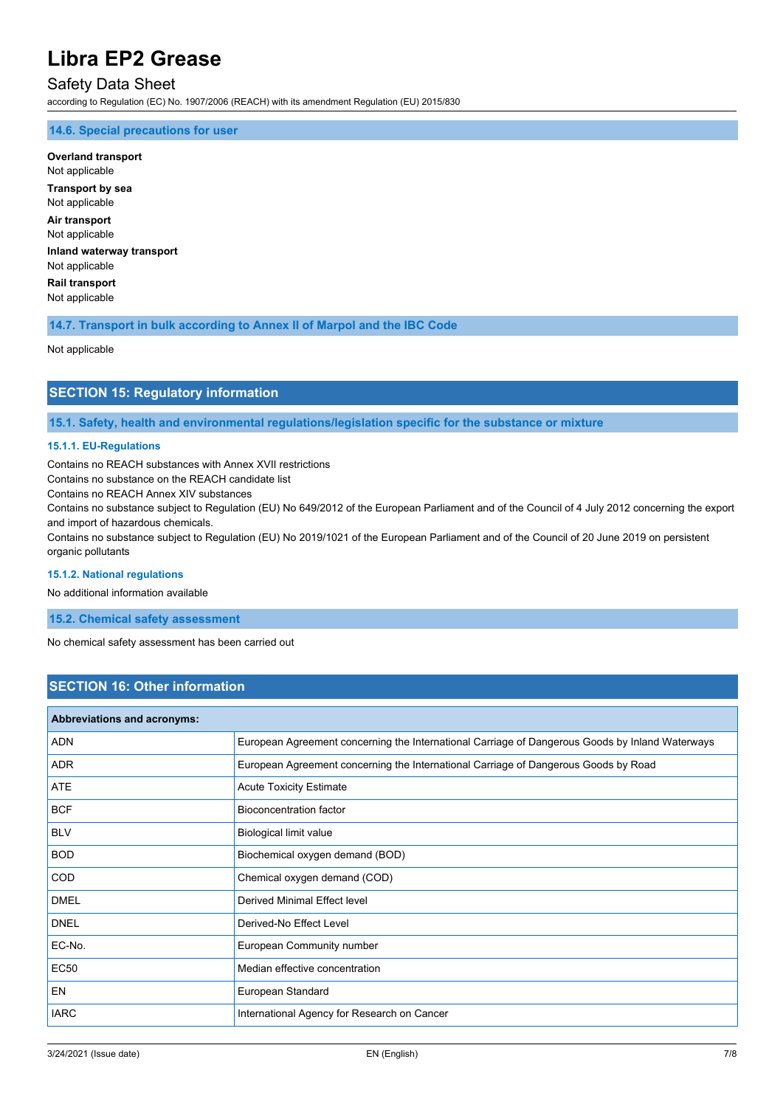# Safety Data Sheet

according to Regulation (EC) No. 1907/2006 (REACH) with its amendment Regulation (EU) 2015/830

### **14.6. Special precautions for user**

**Overland transport** Not applicable **Transport by sea** Not applicable **Air transport** Not applicable **Inland waterway transport** Not applicable **Rail transport** Not applicable

### **14.7. Transport in bulk according to Annex II of Marpol and the IBC Code**

Not applicable

# **SECTION 15: Regulatory information**

**15.1. Safety, health and environmental regulations/legislation specific for the substance or mixture**

#### **15.1.1. EU-Regulations**

Contains no REACH substances with Annex XVII restrictions

Contains no substance on the REACH candidate list

Contains no REACH Annex XIV substances

Contains no substance subject to Regulation (EU) No 649/2012 of the European Parliament and of the Council of 4 July 2012 concerning the export and import of hazardous chemicals.

Contains no substance subject to Regulation (EU) No 2019/1021 of the European Parliament and of the Council of 20 June 2019 on persistent organic pollutants

#### **15.1.2. National regulations**

No additional information available

**15.2. Chemical safety assessment**

No chemical safety assessment has been carried out

# **SECTION 16: Other information**

| <b>Abbreviations and acronyms:</b> |                                                                                                 |
|------------------------------------|-------------------------------------------------------------------------------------------------|
| <b>ADN</b>                         | European Agreement concerning the International Carriage of Dangerous Goods by Inland Waterways |
| <b>ADR</b>                         | European Agreement concerning the International Carriage of Dangerous Goods by Road             |
| <b>ATE</b>                         | <b>Acute Toxicity Estimate</b>                                                                  |
| <b>BCF</b>                         | <b>Bioconcentration factor</b>                                                                  |
| <b>BLV</b>                         | Biological limit value                                                                          |
| <b>BOD</b>                         | Biochemical oxygen demand (BOD)                                                                 |
| COD                                | Chemical oxygen demand (COD)                                                                    |
| <b>DMEL</b>                        | Derived Minimal Effect level                                                                    |
| <b>DNEL</b>                        | Derived-No Effect Level                                                                         |
| EC-No.                             | European Community number                                                                       |
| <b>EC50</b>                        | Median effective concentration                                                                  |
| EN                                 | European Standard                                                                               |
| <b>IARC</b>                        | International Agency for Research on Cancer                                                     |